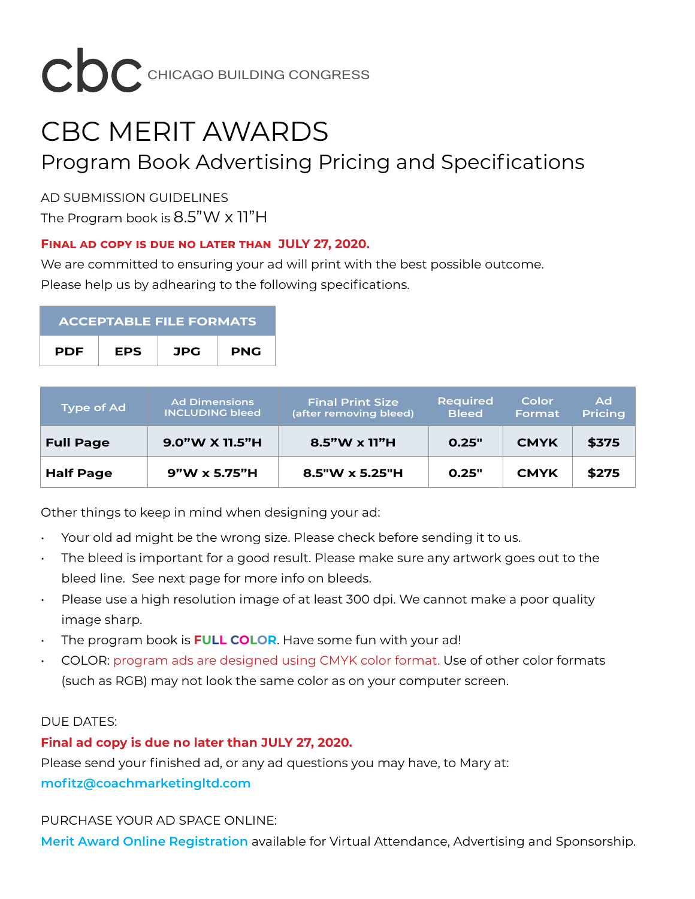

# CBC MERIT AWARDS Program Book Advertising Pricing and Specifications

AD SUBMISSION GUIDELINES The Program book is 8.5"W x 11"H

### **Final ad copy is due no later than JULY 27, 2020.**

We are committed to ensuring your ad will print with the best possible outcome. Please help us by adhearing to the following specifications.

| <b>ACCEPTABLE FILE FORMATS</b> |            |     |            |  |  |  |
|--------------------------------|------------|-----|------------|--|--|--|
| <b>PDF</b>                     | <b>EPS</b> | JPG | <b>PNG</b> |  |  |  |

| <b>Type of Ad</b> | <b>Ad Dimensions</b><br><b>INCLUDING bleed</b> | <b>Final Print Size</b><br>(after removing bleed) | <b>Required</b><br><b>Bleed</b> | Color<br>Format | Ad<br><b>Pricing</b> |
|-------------------|------------------------------------------------|---------------------------------------------------|---------------------------------|-----------------|----------------------|
| <b>Full Page</b>  | 9.0"W X 11.5"H                                 | $8.5"$ W x 11"H                                   | 0.25"                           | <b>CMYK</b>     | \$375                |
| <b>Half Page</b>  | $9"W \times 5.75"H$                            | $8.5''W \times 5.25''H$                           | 0.25"                           | <b>CMYK</b>     | \$275                |

Other things to keep in mind when designing your ad:

- Your old ad might be the wrong size. Please check before sending it to us.
- The bleed is important for a good result. Please make sure any artwork goes out to the bleed line. See next page for more info on bleeds.
- Please use a high resolution image of at least 300 dpi. We cannot make a poor quality image sharp.
- The program book is **FULL COLOR**. Have some fun with your ad!
- COLOR: program ads are designed using CMYK color format. Use of other color formats (such as RGB) may not look the same color as on your computer screen.

#### DUE DATES:

## **Final ad copy is due no later than JULY 27, 2020.**

Please send your finished ad, or any ad questions you may have, to Mary at: **[mofitz@coachmarketingltd.com](mailto:mofitz%40coachmarketingltd.com?subject=CBC%20Golf%20Outing%20Advertising)**

#### PURCHASE YOUR AD SPACE ONLINE:

**[Merit Award Online Registration](https://www.chicagobuildingcongress.org/virtual-merit-awards/)** available for Virtual Attendance, Advertising and Sponsorship.